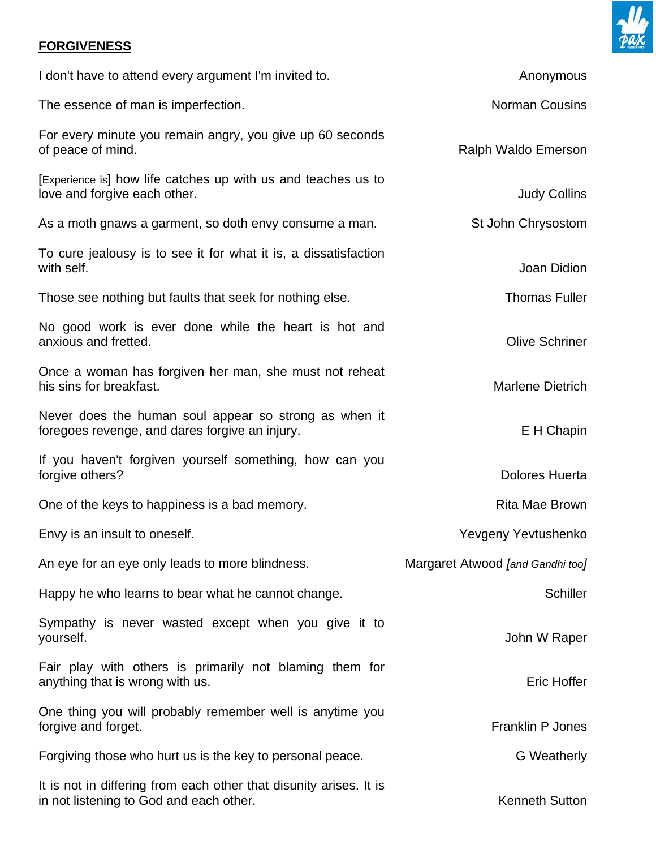## **FORGIVENESS**

| I don't have to attend every argument I'm invited to.                                                         | Anonymous                               |
|---------------------------------------------------------------------------------------------------------------|-----------------------------------------|
| The essence of man is imperfection.                                                                           | <b>Norman Cousins</b>                   |
| For every minute you remain angry, you give up 60 seconds<br>of peace of mind.                                | Ralph Waldo Emerson                     |
| [Experience is] how life catches up with us and teaches us to<br>love and forgive each other.                 | <b>Judy Collins</b>                     |
| As a moth gnaws a garment, so doth envy consume a man.                                                        | St John Chrysostom                      |
| To cure jealousy is to see it for what it is, a dissatisfaction<br>with self.                                 | Joan Didion                             |
| Those see nothing but faults that seek for nothing else.                                                      | <b>Thomas Fuller</b>                    |
| No good work is ever done while the heart is hot and<br>anxious and fretted.                                  | <b>Olive Schriner</b>                   |
| Once a woman has forgiven her man, she must not reheat<br>his sins for breakfast.                             | <b>Marlene Dietrich</b>                 |
| Never does the human soul appear so strong as when it<br>foregoes revenge, and dares forgive an injury.       | E H Chapin                              |
| If you haven't forgiven yourself something, how can you<br>forgive others?                                    | <b>Dolores Huerta</b>                   |
| One of the keys to happiness is a bad memory.                                                                 | <b>Rita Mae Brown</b>                   |
| Envy is an insult to oneself.                                                                                 | Yevgeny Yevtushenko                     |
| An eye for an eye only leads to more blindness.                                                               | Margaret Atwood <i>[and Gandhi too]</i> |
| Happy he who learns to bear what he cannot change.                                                            | <b>Schiller</b>                         |
| Sympathy is never wasted except when you give it to<br>yourself.                                              | John W Raper                            |
| Fair play with others is primarily not blaming them for<br>anything that is wrong with us.                    | Eric Hoffer                             |
| One thing you will probably remember well is anytime you<br>forgive and forget.                               | <b>Franklin P Jones</b>                 |
| Forgiving those who hurt us is the key to personal peace.                                                     | <b>G</b> Weatherly                      |
| It is not in differing from each other that disunity arises. It is<br>in not listening to God and each other. | <b>Kenneth Sutton</b>                   |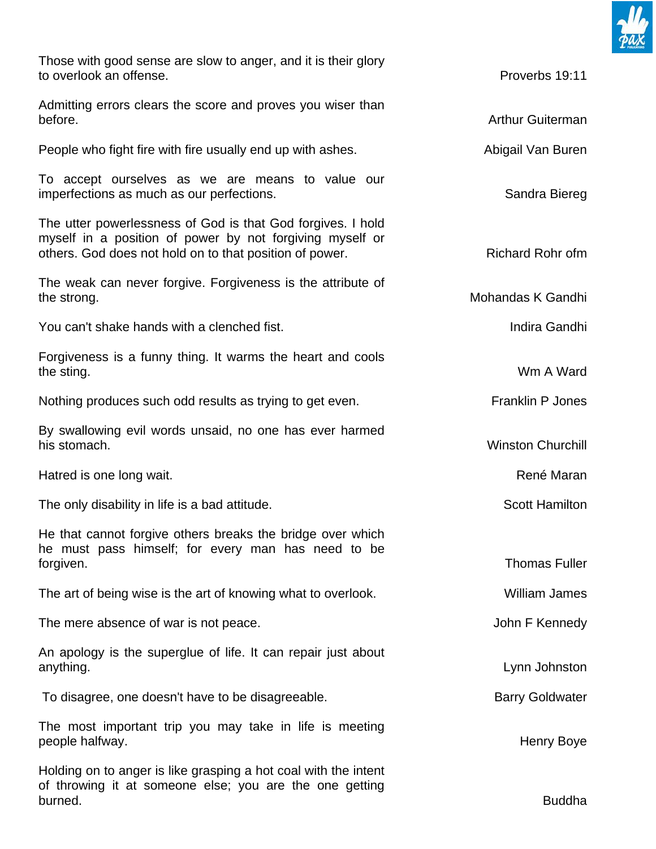